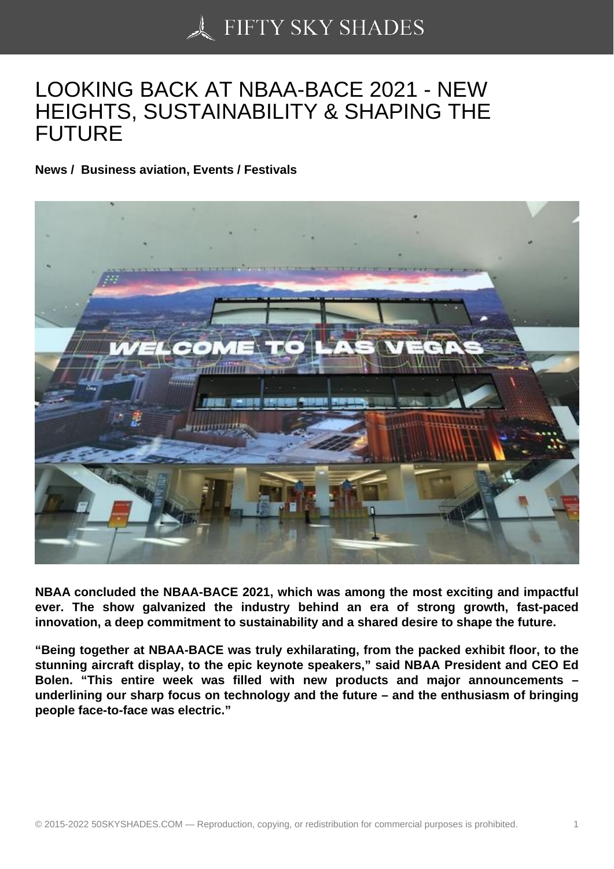## [LOOKING BACK AT N](https://50skyshades.com)BAA-BACE 2021 - NEW HEIGHTS, SUSTAINABILITY & SHAPING THE FUTURE

News / Business aviation, Events / Festivals

NBAA concluded the NBAA-BACE 2021, which was among the most exciting and impactful ever. The show galvanized the industry behind an era of strong growth, fast-paced innovation, a deep commitment to sustainability and a shared desire to shape the future.

"Being together at NBAA-BACE was truly exhilarating, from the packed exhibit floor, to the stunning aircraft display, to the epic keynote speakers," said NBAA President and CEO Ed Bolen. "This entire week was filled with new products and major announcements – underlining our sharp focus on technology and the future – and the enthusiasm of bringing people face-to-face was electric."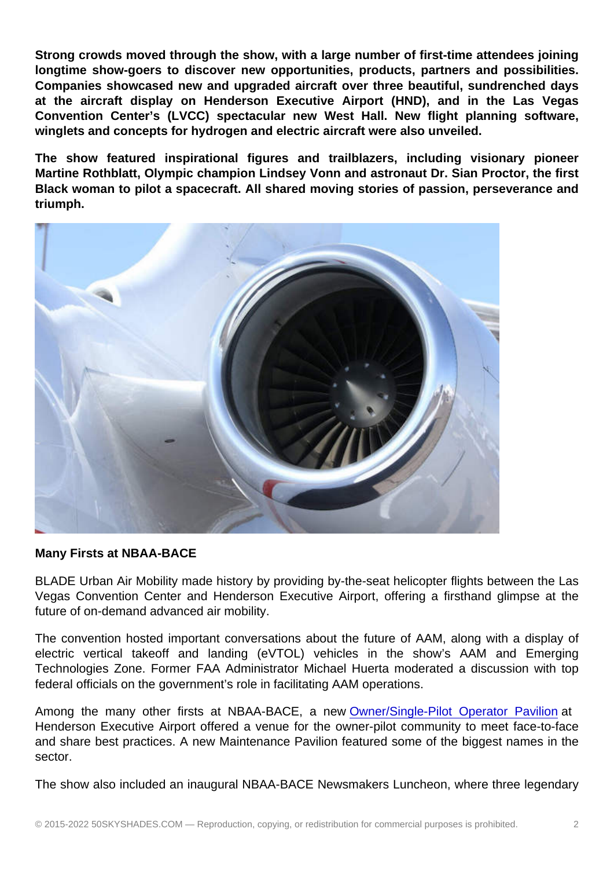Strong crowds moved through the show, with a large number of first-time attendees joining longtime show-goers to discover new opportunities, products, partners and possibilities. Companies showcased new and upgraded aircraft over three beautiful, sundrenched days at the aircraft display on Henderson Executive Airport (HND), and in the Las Vegas Convention Center's (LVCC) spectacular new West Hall. New flight planning software, winglets and concepts for hydrogen and electric aircraft were also unveiled.

The show featured inspirational figures and trailblazers, including visionary pioneer Martine Rothblatt, Olympic champion Lindsey Vonn and astronaut Dr. Sian Proctor, the first Black woman to pilot a spacecraft. All shared moving stories of passion, perseverance and triumph.

Many Firsts at NBAA-BACE

BLADE Urban Air Mobility made history by providing by-the-seat helicopter flights between the Las Vegas Convention Center and Henderson Executive Airport, offering a firsthand glimpse at the future of on-demand advanced air mobility.

The convention hosted important conversations about the future of AAM, along with a display of electric vertical takeoff and landing (eVTOL) vehicles in the show's AAM and Emerging Technologies Zone. Former FAA Administrator Michael Huerta moderated a discussion with top federal officials on the government's role in facilitating AAM operations.

Among the many other firsts at NBAA-BACE, a new Owner/Single-Pilot Operator Pavilion at Henderson Executive Airport offered a venue for the owner-pilot community to meet face-to-face and share best practices. A new Maintenance Pavilion featured some of the biggest names in the sector.

The show also included an inaugural NBAA-BACE Newsmakers Luncheon, where three legendary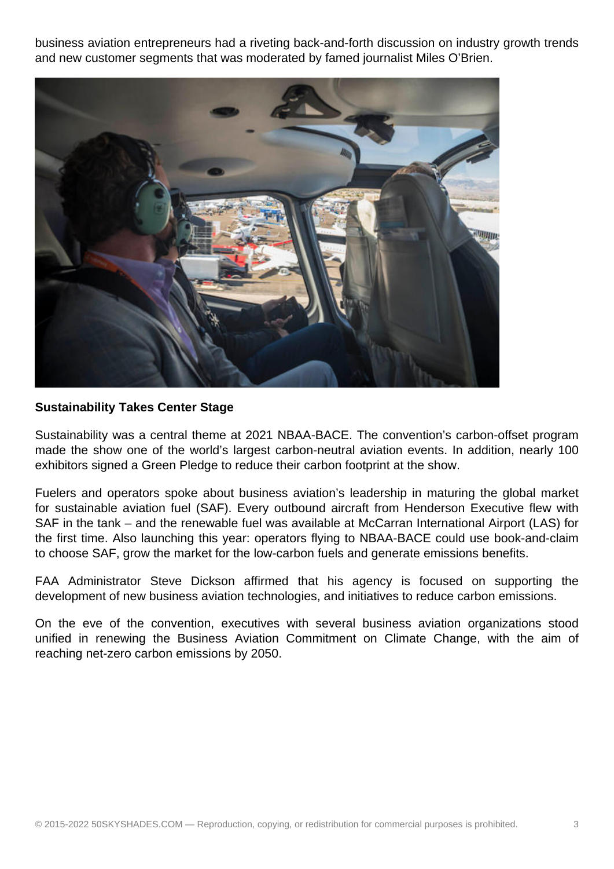business aviation entrepreneurs had a riveting back-and-forth discussion on industry growth trends and new customer segments that was moderated by famed journalist Miles O'Brien.



## **Sustainability Takes Center Stage**

Sustainability was a central theme at 2021 NBAA-BACE. The convention's carbon-offset program made the show one of the world's largest carbon-neutral aviation events. In addition, nearly 100 exhibitors signed a Green Pledge to reduce their carbon footprint at the show.

Fuelers and operators spoke about business aviation's leadership in maturing the global market for sustainable aviation fuel (SAF). Every outbound aircraft from Henderson Executive flew with SAF in the tank – and the renewable fuel was available at McCarran International Airport (LAS) for the first time. Also launching this year: operators flying to NBAA-BACE could use book-and-claim to choose SAF, grow the market for the low-carbon fuels and generate emissions benefits.

FAA Administrator Steve Dickson affirmed that his agency is focused on supporting the development of new business aviation technologies, and initiatives to reduce carbon emissions.

On the eve of the convention, executives with several business aviation organizations stood unified in renewing the Business Aviation Commitment on Climate Change, with the aim of reaching net-zero carbon emissions by 2050.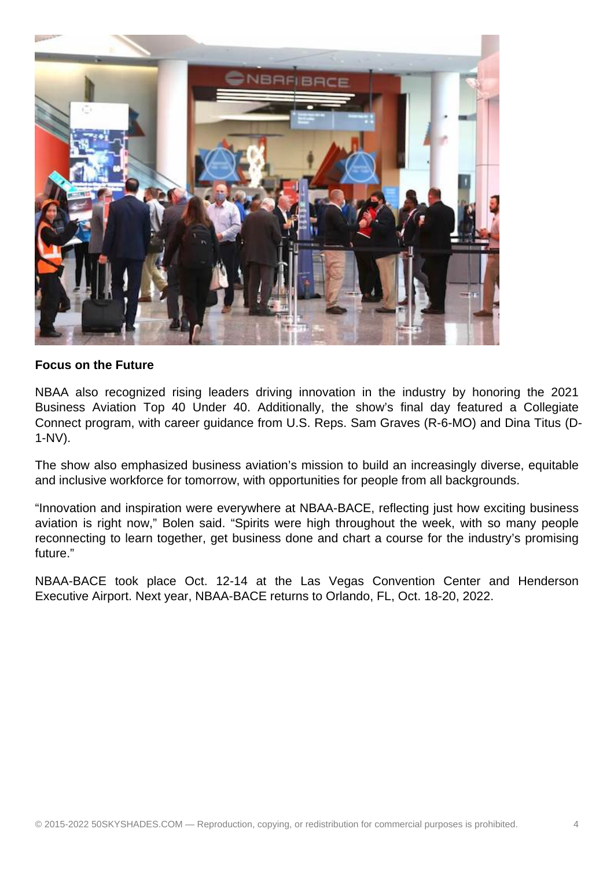

## **Focus on the Future**

NBAA also recognized rising leaders driving innovation in the industry by honoring the 2021 Business Aviation Top 40 Under 40. Additionally, the show's final day featured a Collegiate Connect program, with career guidance from U.S. Reps. Sam Graves (R-6-MO) and Dina Titus (D-1-NV).

The show also emphasized business aviation's mission to build an increasingly diverse, equitable and inclusive workforce for tomorrow, with opportunities for people from all backgrounds.

"Innovation and inspiration were everywhere at NBAA-BACE, reflecting just how exciting business aviation is right now," Bolen said. "Spirits were high throughout the week, with so many people reconnecting to learn together, get business done and chart a course for the industry's promising future."

NBAA-BACE took place Oct. 12-14 at the Las Vegas Convention Center and Henderson Executive Airport. Next year, NBAA-BACE returns to Orlando, FL, Oct. 18-20, 2022.